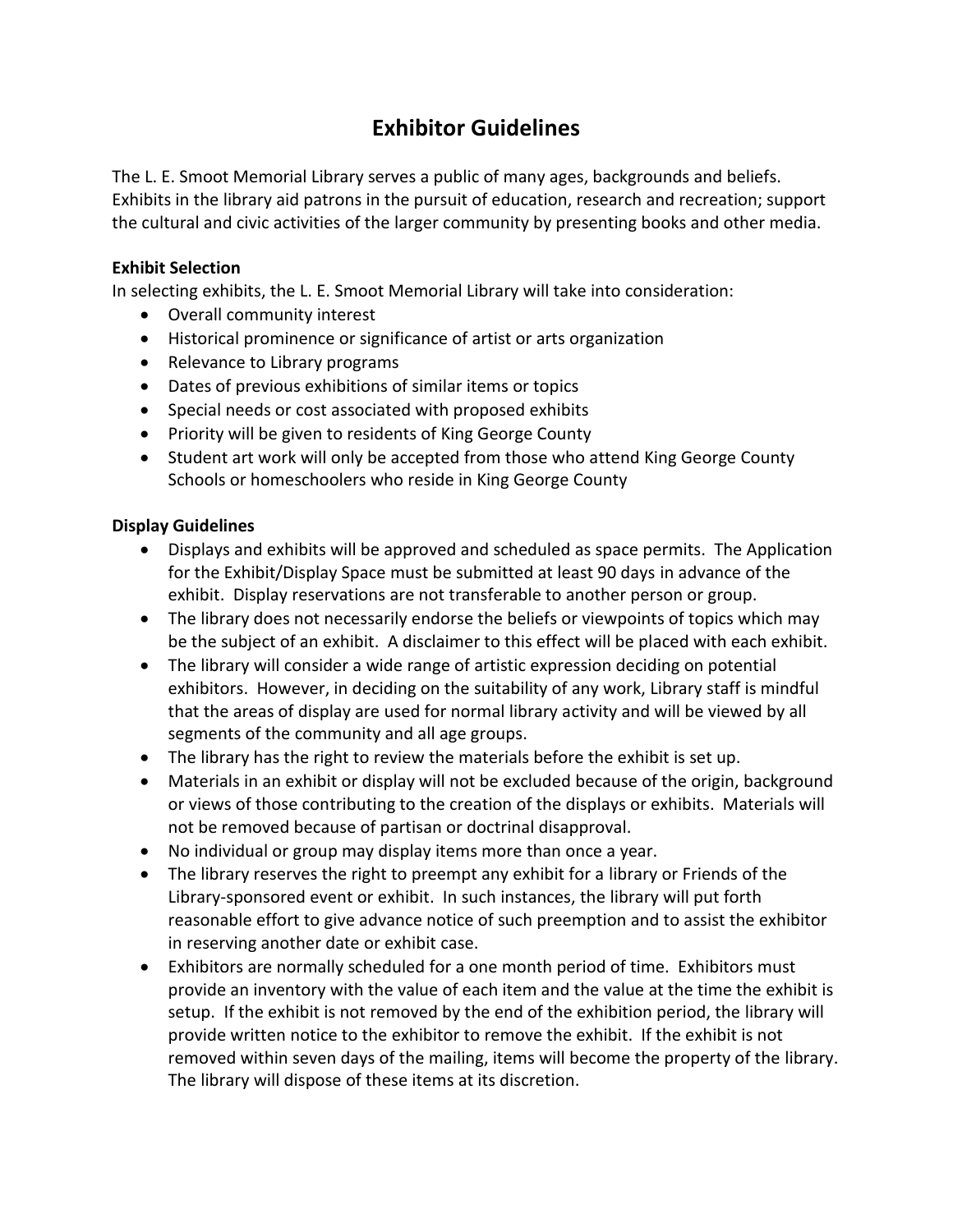## **Exhibitor Guidelines**

The L. E. Smoot Memorial Library serves a public of many ages, backgrounds and beliefs. Exhibits in the library aid patrons in the pursuit of education, research and recreation; support the cultural and civic activities of the larger community by presenting books and other media.

#### **Exhibit Selection**

In selecting exhibits, the L. E. Smoot Memorial Library will take into consideration:

- Overall community interest
- Historical prominence or significance of artist or arts organization
- Relevance to Library programs
- Dates of previous exhibitions of similar items or topics
- Special needs or cost associated with proposed exhibits
- Priority will be given to residents of King George County
- Student art work will only be accepted from those who attend King George County Schools or homeschoolers who reside in King George County

#### **Display Guidelines**

- Displays and exhibits will be approved and scheduled as space permits. The Application for the Exhibit/Display Space must be submitted at least 90 days in advance of the exhibit. Display reservations are not transferable to another person or group.
- The library does not necessarily endorse the beliefs or viewpoints of topics which may be the subject of an exhibit. A disclaimer to this effect will be placed with each exhibit.
- The library will consider a wide range of artistic expression deciding on potential exhibitors. However, in deciding on the suitability of any work, Library staff is mindful that the areas of display are used for normal library activity and will be viewed by all segments of the community and all age groups.
- The library has the right to review the materials before the exhibit is set up.
- Materials in an exhibit or display will not be excluded because of the origin, background or views of those contributing to the creation of the displays or exhibits. Materials will not be removed because of partisan or doctrinal disapproval.
- No individual or group may display items more than once a year.
- The library reserves the right to preempt any exhibit for a library or Friends of the Library-sponsored event or exhibit. In such instances, the library will put forth reasonable effort to give advance notice of such preemption and to assist the exhibitor in reserving another date or exhibit case.
- Exhibitors are normally scheduled for a one month period of time. Exhibitors must provide an inventory with the value of each item and the value at the time the exhibit is setup. If the exhibit is not removed by the end of the exhibition period, the library will provide written notice to the exhibitor to remove the exhibit. If the exhibit is not removed within seven days of the mailing, items will become the property of the library. The library will dispose of these items at its discretion.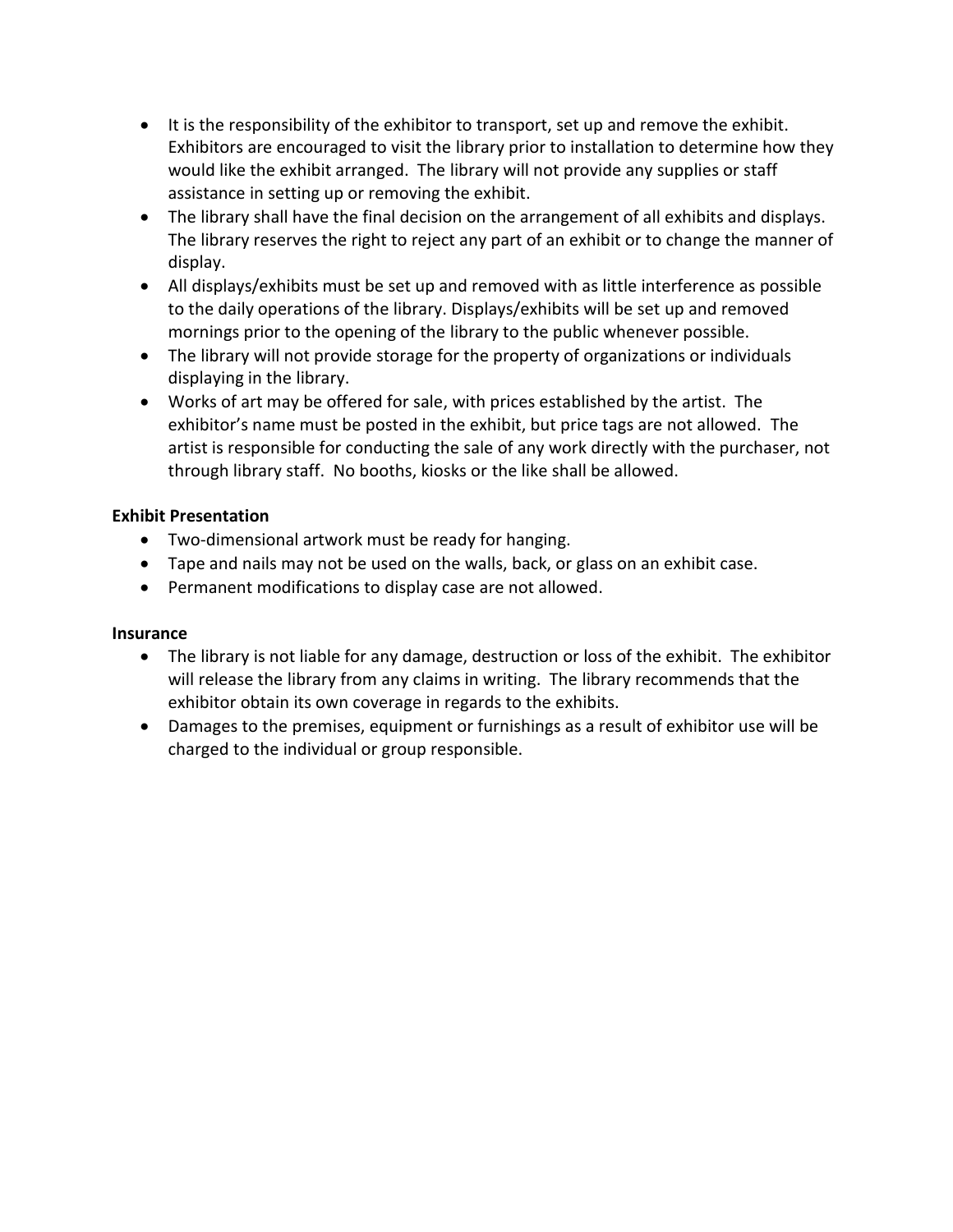- It is the responsibility of the exhibitor to transport, set up and remove the exhibit. Exhibitors are encouraged to visit the library prior to installation to determine how they would like the exhibit arranged. The library will not provide any supplies or staff assistance in setting up or removing the exhibit.
- The library shall have the final decision on the arrangement of all exhibits and displays. The library reserves the right to reject any part of an exhibit or to change the manner of display.
- All displays/exhibits must be set up and removed with as little interference as possible to the daily operations of the library. Displays/exhibits will be set up and removed mornings prior to the opening of the library to the public whenever possible.
- The library will not provide storage for the property of organizations or individuals displaying in the library.
- Works of art may be offered for sale, with prices established by the artist. The exhibitor's name must be posted in the exhibit, but price tags are not allowed. The artist is responsible for conducting the sale of any work directly with the purchaser, not through library staff. No booths, kiosks or the like shall be allowed.

#### **Exhibit Presentation**

- Two-dimensional artwork must be ready for hanging.
- Tape and nails may not be used on the walls, back, or glass on an exhibit case.
- Permanent modifications to display case are not allowed.

### **Insurance**

- The library is not liable for any damage, destruction or loss of the exhibit. The exhibitor will release the library from any claims in writing. The library recommends that the exhibitor obtain its own coverage in regards to the exhibits.
- Damages to the premises, equipment or furnishings as a result of exhibitor use will be charged to the individual or group responsible.